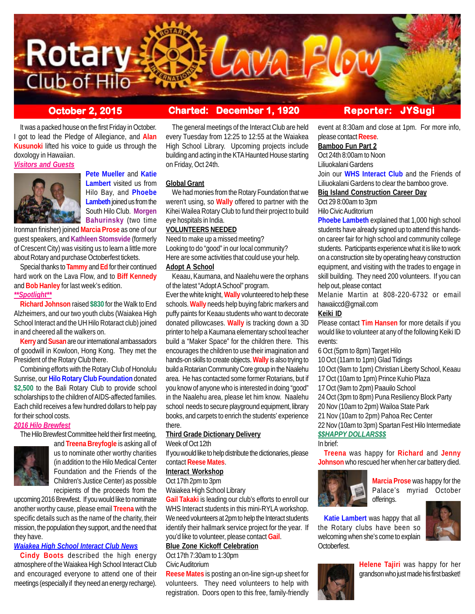

# **October 2, 2015 Charted: December 1, 1920 Reporter: JYSug**

It was a packed house on the first Friday in October. I got to lead the Pledge of Allegiance, and **Alan Kusunoki** lifted his voice to guide us through the doxology in Hawaiian.

*Visitors and Guests*



**Pete Mueller** and **Katie Lambert** visited us from Hilo Bay, and **Phoebe Lambeth** joined us from the South Hilo Club. **Morgen Bahurinsky** (two time

Ironman finisher) joined **Marcia Prose** as one of our guest speakers, and **Kathleen Stomsvide** (formerly of Crescent City) was visiting us to learn a little more about Rotary and purchase Octoberfest tickets.

Special thanks to **Tammy** and **Ed** for their continued hard work on the Lava Flow, and to **Biff Kennedy** and **Bob Hanley** for last week's edition. *\*\*Spotlight\*\**

**Richard Johnson** raised **\$830** for the Walk to End Alzheimers, and our two youth clubs (Waiakea High School Interact and the UH Hilo Rotaract club) joined in and cheered all the walkers on.

**Kerry** and **Susan** are our international ambassadors of goodwill in Kowloon, Hong Kong. They met the President of the Rotary Club there.

Combining efforts with the Rotary Club of Honolulu Sunrise, our **Hilo Rotary Club Foundation** donated **\$2,500** to the Bali Rotary Club to provide school scholarships to the children of AIDS-affected families. Each child receives a few hundred dollars to help pay for their school costs.

# *2016 Hilo Brewfest*

The Hilo Brewfest Committee held their first meeting,



and **Treena Breyfogle** is asking all of us to nominate other worthy charities (in addition to the Hilo Medical Center Foundation and the Friends of the Children's Justice Center) as possible recipients of the proceeds from the

upcoming 2016 Brewfest. If you would like to nominate another worthy cause, please email **Treena** with the specific details such as the name of the charity, their mission, the population they support, and the need that they have.

#### *Waiakea High School Interact Club News*

**Cindy Boots** described the high energy atmosphere of the Waiakea High School Interact Club and encouraged everyone to attend one of their meetings (especially if they need an energy recharge).

The general meetings of the Interact Club are held every Tuesday from 12:25 to 12:55 at the Waiakea High School Library. Upcoming projects include building and acting in the KTA Haunted House starting on Friday, Oct 24th.

#### **Global Grant**

We had monies from the Rotary Foundation that we weren't using, so **Wally** offered to partner with the Kihei Wailea Rotary Club to fund their project to build eye hospitals in India.

# **VOLUNTEERS NEEDED**

Need to make up a missed meeting? Looking to do "good" in our local community? Here are some activities that could use your help.

# **Adopt A School**

Keaau, Kaumana, and Naalehu were the orphans of the latest "Adopt A School" program.

Ever the white knight, **Wally** volunteered to help these schools. **Wally** needs help buying fabric markers and puffy paints for Keaau students who want to decorate donated pillowcases. **Wally** is tracking down a 3D printer to help a Kaumana elementary school teacher build a "Maker Space" for the children there. This encourages the children to use their imagination and hands-on skills to create objects. **Wally** is also trying to build a Rotarian Community Core group in the Naalehu area. He has contacted some former Rotarians, but if you know of anyone who is interested in doing "good" in the Naalehu area, please let him know. Naalehu school needs to secure playground equipment, library books, and carpets to enrich the students' experience there.

# **Third Grade Dictionary Delivery**

Week of Oct 12th

If you would like to help distribute the dictionaries, please contact **Reese Mates**.

#### **Interact Workshop**

Oct 17th 2pm to 3pm

Waiakea High School Library

**Gail Takaki** is leading our club's efforts to enroll our WHS Interact students in this mini-RYLA workshop. We need volunteers at 2pm to help the Interact students identify their hallmark service project for the year. If you'd like to volunteer, please contact **Gail**.

#### **Blue Zone Kickoff Celebration**

Oct 17th 7:30am to 1:30pm

#### Civic Auditorium

**Reese Mates** is posting an on-line sign-up sheet for volunteers. They need volunteers to help with registration. Doors open to this free, family-friendly

event at 8:30am and close at 1pm. For more info, please contact **Reese**.

# **Bamboo Fun Part 2**

Oct 24th 8:00am to Noon Liliuokalani Gardens

Join our **WHS Interact Club** and the Friends of Liliuokalani Gardens to clear the bamboo grove.

# **Big Island Construction Career Day**

Oct 29 8:00am to 3pm

Hilo Civic Auditorium

**Phoebe Lambeth** explained that 1,000 high school students have already signed up to attend this handson career fair for high school and community college students. Participants experience what it is like to work on a construction site by operating heavy construction equipment, and visiting with the trades to engage in skill building. They need 200 volunteers. If you can help out, please contact

Melanie Martin at 808-220-6732 or email hawaiiccd@gmail.com

#### **Keiki ID**

Please contact **Tim Hansen** for more details if you would like to volunteer at any of the following Keiki ID events:

6 Oct (5pm to 8pm) Target Hilo

10 Oct (11am to 1pm) Glad Tidings

10 Oct (9am to 1pm) Christian Liberty School, Keaau

- 17 Oct (10am to 1pm) Prince Kuhio Plaza
- 17 Oct (9am to 2pm) Paauilo School
- 24 Oct (3pm to 8pm) Puna Resiliency Block Party

20 Nov (10am to 2pm) Wailoa State Park

21 Nov (10am to 2pm) Pahoa Rec Center

22 Nov (10am to 3pm) Spartan Fest Hilo Intermediate *\$\$HAPPY DOLLARS\$\$*

In brief:

**Treena** was happy for **Richard** and **Jenny Johnson** who rescued her when her car battery died.



**Marcia Prose** was happy for the Palace's myriad October offerings.

**Katie Lambert** was happy that all the Rotary clubs have been so welcoming when she's come to explain Octoberfest.





**Helene Tajiri** was happy for her grandson who just made his first basket!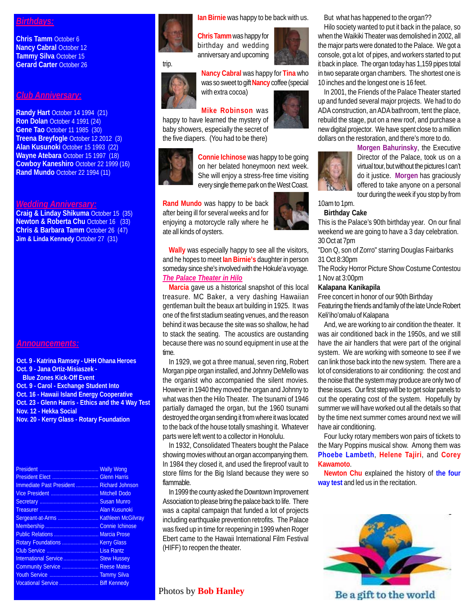# *Birthdays:*

**Chris Tamm** October 6 **Nancy Cabral October 12 Tammy Silva** October 15 **Gerard Carter** October 26

#### *Club Anniversary:*

**Randy Hart** October 14 1994 (21) **Ron Dolan** October 4 1991 (24) **Gene Tao** October 11 1985 (30) **Treena Breyfogle** October 12 2012 (3) **Alan Kusunoki** October 15 1993 (22) **Wayne Atebara** October 15 1997 (18) **Cowboy Kaneshiro** October 22 1999 (16) **Rand Mundo** October 22 1994 (11)

# *Wedding Anniversary:*

**Craig & Linday Shikuma** October 15 (35) **Newton & Roberta Chu October 16 (33) Chris & Barbara Tamm** October 26 (47) **Jim & Linda Kennedy October 27 (31)** 

#### *Announcements:*

**Oct. 9 - Katrina Ramsey - UHH Ohana Heroes Oct. 9 - Jana Ortiz-Misiaszek - Blue Zones Kick-Off Event Oct. 9 - Carol - Exchange Student Into Oct. 16 - Hawaii Island Energy Cooperative Oct. 23 - Glenn Harris - Ethics and the 4 Way Test Nov. 12 - Hekka Social Nov. 20 - Kerry Glass - Rotary Foundation**

| Immediate Past President  Richard Johnson |  |
|-------------------------------------------|--|
|                                           |  |
|                                           |  |
|                                           |  |
| Sergeant-at-Arms  Kathleen McGilvray      |  |
|                                           |  |
| Public Relations  Marcia Prose            |  |
|                                           |  |
|                                           |  |
| International Service  Stew Hussey        |  |
| Community Service  Reese Mates            |  |
|                                           |  |
| Vocational Service  Biff Kennedy          |  |

**Ian Birnie** was happy to be back with us.

**Chris Tamm** was happy for birthday and wedding anniversary and upcoming

trip.



**Nancy Cabral** was happy for **Tina** who was so sweet to gift **Nancy** coffee (special with extra cocoa)

# **Mike Robinson** was

happy to have learned the mystery of baby showers, especially the secret of the five diapers. (You had to be there)



**Connie Ichinose** was happy to be going on her belated honeymoon next week. She will enjoy a stress-free time visiting every single theme park on the West Coast.

**Rand Mundo** was happy to be back after being ill for several weeks and for enjoying a motorcycle rally where he ate all kinds of oysters.

**Wally** was especially happy to see all the visitors, and he hopes to meet **Ian Birnie's** daughter in person someday since she's involved with the Hokule'a voyage. *The Palace Theater in Hilo*

**Marcia** gave us a historical snapshot of this local treasure. MC Baker, a very dashing Hawaiian gentleman built the beaux art building in 1925. It was one of the first stadium seating venues, and the reason behind it was because the site was so shallow, he had to stack the seating. The acoustics are oustanding because there was no sound equipment in use at the time.

In 1929, we got a three manual, seven ring, Robert Morgan pipe organ installed, and Johnny DeMello was the organist who accompanied the silent movies. However in 1940 they moved the organ and Johnny to what was then the Hilo Theater. The tsunami of 1946 partially damaged the organ, but the 1960 tsunami destroyed the organ sending it from where it was located to the back of the house totally smashing it. Whatever parts were left went to a collector in Honolulu.

In 1932, Consolidated Theaters bought the Palace showing movies without an organ accompanying them. In 1984 they closed it, and used the fireproof vault to store films for the Big Island because they were so flammable.

In 1999 the county asked the Downtown Improvement Association to please bring the palace back to life. There was a capital campaign that funded a lot of projects including earthquake prevention retrofits. The Palace was fixed up in time for reopening in 1999 when Roger Ebert came to the Hawaii International Film Festival (HIFF) to reopen the theater.

# Photos by **Bob Hanley**

But what has happened to the organ??

Hilo society wanted to put it back in the palace, so when the Waikiki Theater was demolished in 2002, all the major parts were donated to the Palace. We got a console, got a lot of pipes, and workers started to put it back in place. The organ today has 1,159 pipes total in two separate organ chambers. The shortest one is 10 inches and the longest one is 16 feet.

In 2001, the Friends of the Palace Theater started up and funded several major projects. We had to do ADA construction, an ADA bathroom, tent the place, rebuild the stage, put on a new roof, and purchase a new digital projector. We have spent close to a million dollars on the restoration, and there's more to do.



**Morgen Bahurinsky**, the Executive Director of the Palace, took us on a virtual tour, but without the pictures I can't do it justice. **Morgen** has graciously offered to take anyone on a personal tour during the week if you stop by from

10am to 1pm. **Birthday Cake**

#### This is the Palace's 90th birthday year. On our final weekend we are going to have a 3 day celebration. 30 Oct at 7pm

"Don Q, son of Zorro" starring Douglas Fairbanks 31 Oct 8:30pm

The Rocky Horror Picture Show Costume Contestou 1 Nov at 3:00pm

#### **Kalapana Kanikapila**

Free concert in honor of our 90th Birthday Featuring the friends and family of the late Uncle Robert Keli'iho'omalu of Kalapana

And, we are working to air condition the theater. It was air conditioned back in the 1950s, and we still have the air handlers that were part of the original system. We are working with someone to see if we can link those back into the new system. There are a lot of considerations to air conditioning: the cost and the noise that the system may produce are only two of these issues. Our first step will be to get solar panels to cut the operating cost of the system. Hopefully by summer we will have worked out all the details so that by the time next summer comes around next we will have air conditioning.

Four lucky rotary members won pairs of tickets to the Mary Poppins musical show. Among them was **Phoebe Lambeth**, **Helene Tajiri**, and **Corey Kawamoto**.

**Newton Chu** explained the history of **the four way test** and led us in the recitation.